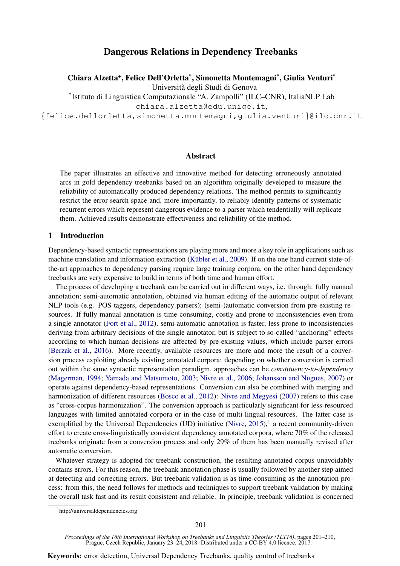# Dangerous Relations in Dependency Treebanks

Chiara Alzetta<sup>+</sup>, Felice Dell'Orletta<sup>\*</sup>, Simonetta Montemagni<sup>\*</sup>, Giulia Venturi<sup>\*</sup>

<sup>+</sup> Universita degli Studi di Genova `

\* Istituto di Linguistica Computazionale "A. Zampolli" (ILC–CNR), ItaliaNLP Lab

chiara.alzetta@edu.unige.it,

{felice.dellorletta,simonetta.montemagni,giulia.venturi}@ilc.cnr.it

## Abstract

The paper illustrates an effective and innovative method for detecting erroneously annotated arcs in gold dependency treebanks based on an algorithm originally developed to measure the reliability of automatically produced dependency relations. The method permits to significantly restrict the error search space and, more importantly, to reliably identify patterns of systematic recurrent errors which represent dangerous evidence to a parser which tendentially will replicate them. Achieved results demonstrate effectiveness and reliability of the method.

# 1 Introduction

Dependency-based syntactic representations are playing more and more a key role in applications such as machine translation and information extraction (Kübler et al., 2009). If on the one hand current state-ofthe-art approaches to dependency parsing require large training corpora, on the other hand dependency treebanks are very expensive to build in terms of both time and human effort.

The process of developing a treebank can be carried out in different ways, i.e. through: fully manual annotation; semi-automatic annotation, obtained via human editing of the automatic output of relevant NLP tools (e.g. POS taggers, dependency parsers); (semi-)automatic conversion from pre-existing resources. If fully manual annotation is time-consuming, costly and prone to inconsistencies even from a single annotator (Fort et al., 2012), semi-automatic annotation is faster, less prone to inconsistencies deriving from arbitrary decisions of the single annotator, but is subject to so-called "anchoring" effects according to which human decisions are affected by pre-existing values, which include parser errors (Berzak et al., 2016). More recently, available resources are more and more the result of a conversion process exploiting already existing annotated corpora: depending on whether conversion is carried out within the same syntactic representation paradigm, approaches can be *constituency-to-dependency* (Magerman, 1994; Yamada and Matsumoto, 2003; Nivre et al., 2006; Johansson and Nugues, 2007) or operate against dependency-based representations. Conversion can also be combined with merging and harmonization of different resources (Bosco et al., 2012): Nivre and Megyesi (2007) refers to this case as "cross-corpus harmonization". The conversion approach is particularly significant for less-resourced languages with limited annotated corpora or in the case of multi-lingual resources. The latter case is exemplified by the Universal Dependencies (UD) initiative (Nivre,  $2015$ ), a recent community-driven effort to create cross-linguistically consistent dependency annotated corpora, where 70% of the released treebanks originate from a conversion process and only 29% of them has been manually revised after automatic conversion.

Whatever strategy is adopted for treebank construction, the resulting annotated corpus unavoidably contains errors. For this reason, the treebank annotation phase is usually followed by another step aimed at detecting and correcting errors. But treebank validation is as time-consuming as the annotation process: from this, the need follows for methods and techniques to support treebank validation by making the overall task fast and its result consistent and reliable. In principle, treebank validation is concerned

<sup>1</sup> http://universaldependencies.org

*Proceedings of the 16th International Workshop on Treebanks and Linguistic Theories (TLT16)*, pages 201–210, Prague, Czech Republic, January 23–24, 2018. Distributed under a CC-BY 4.0 licence. 2017.

**Keywords:** error detection, Universal Dependency Treebanks, quality control of treebanks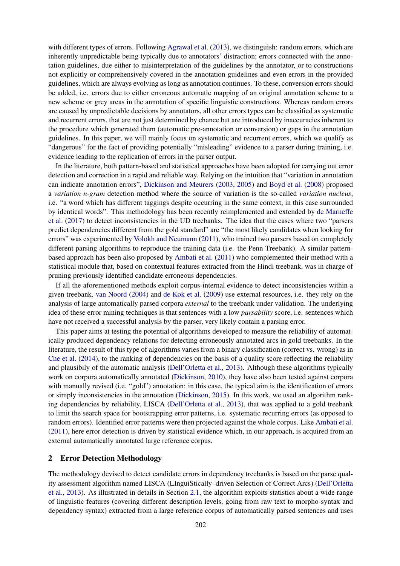with different types of errors. Following Agrawal et al. (2013), we distinguish: random errors, which are inherently unpredictable being typically due to annotators' distraction; errors connected with the annotation guidelines, due either to misinterpretation of the guidelines by the annotator, or to constructions not explicitly or comprehensively covered in the annotation guidelines and even errors in the provided guidelines, which are always evolving as long as annotation continues. To these, conversion errors should be added, i.e. errors due to either erroneous automatic mapping of an original annotation scheme to a new scheme or grey areas in the annotation of specific linguistic constructions. Whereas random errors are caused by unpredictable decisions by annotators, all other errors types can be classified as systematic and recurrent errors, that are not just determined by chance but are introduced by inaccuracies inherent to the procedure which generated them (automatic pre-annotation or conversion) or gaps in the annotation guidelines. In this paper, we will mainly focus on systematic and recurrent errors, which we qualify as "dangerous" for the fact of providing potentially "misleading" evidence to a parser during training, i.e. evidence leading to the replication of errors in the parser output.

In the literature, both pattern-based and statistical approaches have been adopted for carrying out error detection and correction in a rapid and reliable way. Relying on the intuition that "variation in annotation can indicate annotation errors", Dickinson and Meurers (2003, 2005) and Boyd et al. (2008) proposed a *variation n-gram* detection method where the source of variation is the so-called *variation nucleus*, i.e. "a word which has different taggings despite occurring in the same context, in this case surrounded by identical words". This methodology has been recently reimplemented and extended by de Marneffe et al. (2017) to detect inconsistencies in the UD treebanks. The idea that the cases where two "parsers predict dependencies different from the gold standard" are "the most likely candidates when looking for errors" was experimented by Volokh and Neumann (2011), who trained two parsers based on completely different parsing algorithms to reproduce the training data (i.e. the Penn Treebank). A similar patternbased approach has been also proposed by Ambati et al. (2011) who complemented their method with a statistical module that, based on contextual features extracted from the Hindi treebank, was in charge of pruning previously identified candidate erroneous dependencies.

If all the aforementioned methods exploit corpus-internal evidence to detect inconsistencies within a given treebank, van Noord (2004) and de Kok et al. (2009) use external resources, i.e. they rely on the analysis of large automatically parsed corpora *external* to the treebank under validation. The underlying idea of these error mining techniques is that sentences with a low *parsability* score, i.e. sentences which have not received a successful analysis by the parser, very likely contain a parsing error.

This paper aims at testing the potential of algorithms developed to measure the reliability of automatically produced dependency relations for detecting erroneously annotated arcs in gold treebanks. In the literature, the result of this type of algorithms varies from a binary classification (correct vs. wrong) as in Che et al. (2014), to the ranking of dependencies on the basis of a quality score reflecting the reliability and plausibily of the automatic analysis (Dell'Orletta et al., 2013). Although these algorithms typically work on corpora automatically annotated (Dickinson, 2010), they have also been tested against corpora with manually revised (i.e. "gold") annotation: in this case, the typical aim is the identification of errors or simply inconsistencies in the annotation (Dickinson, 2015). In this work, we used an algorithm ranking dependencies by reliability, LISCA (Dell'Orletta et al., 2013), that was applied to a gold treebank to limit the search space for bootstrapping error patterns, i.e. systematic recurring errors (as opposed to random errors). Identified error patterns were then projected against the whole corpus. Like Ambati et al. (2011), here error detection is driven by statistical evidence which, in our approach, is acquired from an external automatically annotated large reference corpus.

### 2 Error Detection Methodology

The methodology devised to detect candidate errors in dependency treebanks is based on the parse quality assessment algorithm named LISCA (LInguiStically–driven Selection of Correct Arcs) (Dell'Orletta et al., 2013). As illustrated in details in Section 2.1, the algorithm exploits statistics about a wide range of linguistic features (covering different description levels, going from raw text to morpho-syntax and dependency syntax) extracted from a large reference corpus of automatically parsed sentences and uses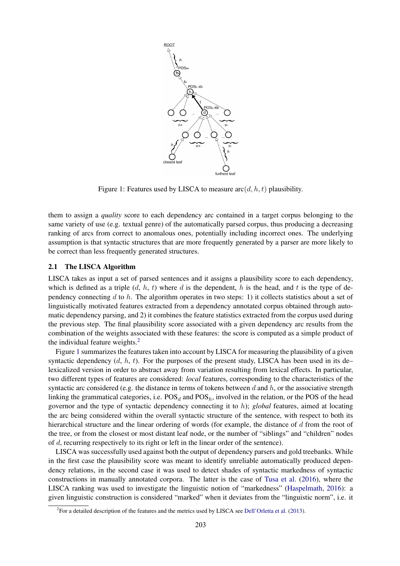

Figure 1: Features used by LISCA to measure  $\operatorname{arc}(d, h, t)$  plausibility.

them to assign a *quality* score to each dependency arc contained in a target corpus belonging to the same variety of use (e.g. textual genre) of the automatically parsed corpus, thus producing a decreasing ranking of arcs from correct to anomalous ones, potentially including incorrect ones. The underlying assumption is that syntactic structures that are more frequently generated by a parser are more likely to be correct than less frequently generated structures.

## 2.1 The LISCA Algorithm

LISCA takes as input a set of parsed sentences and it assigns a plausibility score to each dependency, which is defined as a triple  $(d, h, t)$  where d is the dependent, h is the head, and t is the type of dependency connecting  $d$  to  $h$ . The algorithm operates in two steps: 1) it collects statistics about a set of linguistically motivated features extracted from a dependency annotated corpus obtained through automatic dependency parsing, and 2) it combines the feature statistics extracted from the corpus used during the previous step. The final plausibility score associated with a given dependency arc results from the combination of the weights associated with these features: the score is computed as a simple product of the individual feature weights.<sup>2</sup>

Figure 1 summarizes the features taken into account by LISCA for measuring the plausibility of a given syntactic dependency  $(d, h, t)$ . For the purposes of the present study, LISCA has been used in its de– lexicalized version in order to abstract away from variation resulting from lexical effects. In particular, two different types of features are considered: *local* features, corresponding to the characteristics of the syntactic arc considered (e.g. the distance in terms of tokens between d and h, or the associative strength linking the grammatical categories, i.e.  $POS<sub>d</sub>$  and  $POS<sub>h</sub>$ , involved in the relation, or the POS of the head governor and the type of syntactic dependency connecting it to h); *global* features, aimed at locating the arc being considered within the overall syntactic structure of the sentence, with respect to both its hierarchical structure and the linear ordering of words (for example, the distance of  $d$  from the root of the tree, or from the closest or most distant leaf node, or the number of "siblings" and "children" nodes of d, recurring respectively to its right or left in the linear order of the sentence).

LISCA was successfully used against both the output of dependency parsers and gold treebanks. While in the first case the plausibility score was meant to identify unreliable automatically produced dependency relations, in the second case it was used to detect shades of syntactic markedness of syntactic constructions in manually annotated corpora. The latter is the case of Tusa et al. (2016), where the LISCA ranking was used to investigate the linguistic notion of "markedness" (Haspelmath, 2016): a given linguistic construction is considered "marked" when it deviates from the "linguistic norm", i.e. it

<sup>&</sup>lt;sup>2</sup> For a detailed description of the features and the metrics used by LISCA see Dell'Orletta et al. (2013).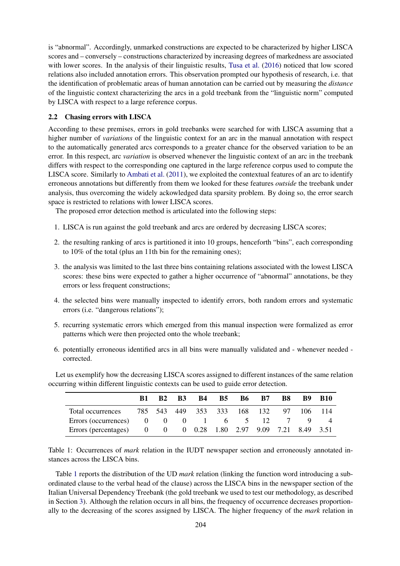is "abnormal". Accordingly, unmarked constructions are expected to be characterized by higher LISCA scores and – conversely – constructions characterized by increasing degrees of markedness are associated with lower scores. In the analysis of their linguistic results, Tusa et al. (2016) noticed that low scored relations also included annotation errors. This observation prompted our hypothesis of research, i.e. that the identification of problematic areas of human annotation can be carried out by measuring the *distance* of the linguistic context characterizing the arcs in a gold treebank from the "linguistic norm" computed by LISCA with respect to a large reference corpus.

# 2.2 Chasing errors with LISCA

According to these premises, errors in gold treebanks were searched for with LISCA assuming that a higher number of *variations* of the linguistic context for an arc in the manual annotation with respect to the automatically generated arcs corresponds to a greater chance for the observed variation to be an error. In this respect, arc *variation* is observed whenever the linguistic context of an arc in the treebank differs with respect to the corresponding one captured in the large reference corpus used to compute the LISCA score. Similarly to Ambati et al. (2011), we exploited the contextual features of an arc to identify erroneous annotations but differently from them we looked for these features *outside* the treebank under analysis, thus overcoming the widely ackowledged data sparsity problem. By doing so, the error search space is restricted to relations with lower LISCA scores.

The proposed error detection method is articulated into the following steps:

- 1. LISCA is run against the gold treebank and arcs are ordered by decreasing LISCA scores;
- 2. the resulting ranking of arcs is partitioned it into 10 groups, henceforth "bins", each corresponding to 10% of the total (plus an 11th bin for the remaining ones);
- 3. the analysis was limited to the last three bins containing relations associated with the lowest LISCA scores: these bins were expected to gather a higher occurrence of "abnormal" annotations, be they errors or less frequent constructions;
- 4. the selected bins were manually inspected to identify errors, both random errors and systematic errors (i.e. "dangerous relations");
- 5. recurring systematic errors which emerged from this manual inspection were formalized as error patterns which were then projected onto the whole treebank;
- 6. potentially erroneous identified arcs in all bins were manually validated and whenever needed corrected.

Let us exemplify how the decreasing LISCA scores assigned to different instances of the same relation occurring within different linguistic contexts can be used to guide error detection.

|                                                               | B2 | <b>B3</b> | <b>B4</b> | <b>B5</b> |                             | <b>B6 B7</b> | B8 | B9 -       | - B10 |
|---------------------------------------------------------------|----|-----------|-----------|-----------|-----------------------------|--------------|----|------------|-------|
| Total occurrences                                             |    |           |           |           | 785 543 449 353 333 168 132 |              |    | 97 106 114 |       |
| Errors (occurrences) $0 \t 0 \t 1 \t 6 \t 5 \t 12 \t 7$       |    |           |           |           |                             |              |    |            |       |
| Errors (percentages) 0 0 0 0.28 1.80 2.97 9.09 7.21 8.49 3.51 |    |           |           |           |                             |              |    |            |       |

Table 1: Occurrences of *mark* relation in the IUDT newspaper section and erroneously annotated instances across the LISCA bins.

Table 1 reports the distribution of the UD *mark* relation (linking the function word introducing a subordinated clause to the verbal head of the clause) across the LISCA bins in the newspaper section of the Italian Universal Dependency Treebank (the gold treebank we used to test our methodology, as described in Section 3). Although the relation occurs in all bins, the frequency of occurrence decreases proportionally to the decreasing of the scores assigned by LISCA. The higher frequency of the *mark* relation in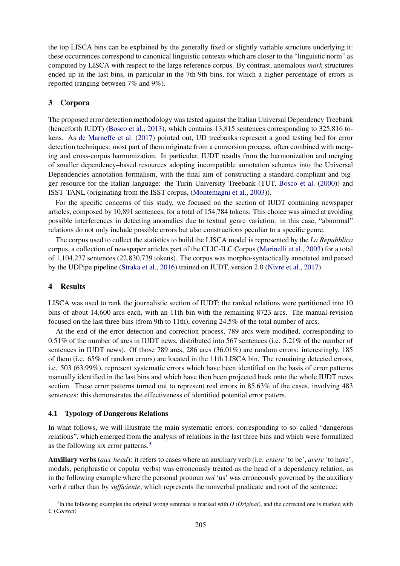the top LISCA bins can be explained by the generally fixed or slightly variable structure underlying it: these occurrences correspond to canonical linguistic contexts which are closer to the "linguistic norm" as computed by LISCA with respect to the large reference corpus. By contrast, anomalous *mark* structures ended up in the last bins, in particular in the 7th-9th bins, for which a higher percentage of errors is reported (ranging between 7% and 9%).

# 3 Corpora

The proposed error detection methodology was tested against the Italian Universal Dependency Treebank (henceforth IUDT) (Bosco et al., 2013), which contains 13,815 sentences corresponding to 325,816 tokens. As de Marneffe et al. (2017) pointed out, UD treebanks represent a good testing bed for error detection techniques: most part of them originate from a conversion process, often combined with merging and cross-corpus harmonization. In particular, IUDT results from the harmonization and merging of smaller dependency–based resources adopting incompatible annotation schemes into the Universal Dependencies annotation formalism, with the final aim of constructing a standard-compliant and bigger resource for the Italian language: the Turin University Treebank (TUT, Bosco et al. (2000)) and ISST–TANL (originating from the ISST corpus, (Montemagni et al., 2003)).

For the specific concerns of this study, we focused on the section of IUDT containing newspaper articles, composed by 10,891 sentences, for a total of 154,784 tokens. This choice was aimed at avoiding possible interferences in detecting anomalies due to textual genre variation: in this case, "abnormal" relations do not only include possible errors but also constructions peculiar to a specific genre.

The corpus used to collect the statistics to build the LISCA model is represented by the *La Repubblica* corpus, a collection of newspaper articles part of the CLIC-ILC Corpus (Marinelli et al., 2003) for a total of 1,104,237 sentences (22,830,739 tokens). The corpus was morpho-syntactically annotated and parsed by the UDPipe pipeline (Straka et al., 2016) trained on IUDT, version 2.0 (Nivre et al., 2017).

# 4 Results

LISCA was used to rank the journalistic section of IUDT: the ranked relations were partitioned into 10 bins of about 14,600 arcs each, with an 11th bin with the remaining 8723 arcs. The manual revision focused on the last three bins (from 9th to 11th), covering 24.5% of the total number of arcs.

At the end of the error detection and correction process, 789 arcs were modified, corresponding to 0.51% of the number of arcs in IUDT news, distributed into 567 sentences (i.e. 5.21% of the number of sentences in IUDT news). Of those 789 arcs, 286 arcs (36.01%) are random errors: interestingly, 185 of them (i.e. 65% of random errors) are located in the 11th LISCA bin. The remaining detected errors, i.e. 503 (63.99%), represent systematic errors which have been identified on the basis of error patterns manually identified in the last bins and which have then been projected back onto the whole IUDT news section. These error patterns turned out to represent real errors in 85.63% of the cases, involving 483 sentences: this demonstrates the effectiveness of identified potential error patters.

# 4.1 Typology of Dangerous Relations

In what follows, we will illustrate the main systematic errors, corresponding to so–called "dangerous relations", which emerged from the analysis of relations in the last three bins and which were formalized as the following six error patterns.<sup>3</sup>

Auxiliary verbs (*aux head*): it refers to cases where an auxiliary verb (i.e. *essere* 'to be', *avere* 'to have', modals, periphrastic or copular verbs) was erroneously treated as the head of a dependency relation, as in the following example where the personal pronoun *noi* 'us' was erroneously governed by the auxiliary verb *e`* rather than by *sufficiente*, which represents the nonverbal predicate and root of the sentence:

<sup>3</sup> In the following examples the original wrong sentence is marked with *O* (*Original*), and the corrected one is marked with *C* (*Correct*)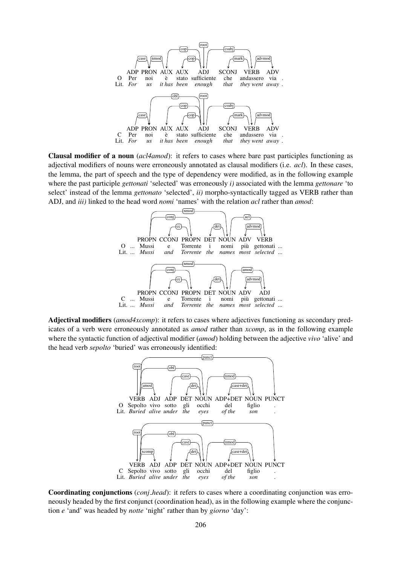

Clausal modifier of a noun (*acl4amod*): it refers to cases where bare past participles functioning as adjectival modifiers of nouns were erroneously annotated as clausal modifiers (i.e. *acl*). In these cases, the lemma, the part of speech and the type of dependency were modified, as in the following example where the past participle *gettonati* 'selected' was erroneously *i)* associated with the lemma *gettonare* 'to select' instead of the lemma *gettonato* 'selected', *ii)* morpho-syntactically tagged as VERB rather than ADJ, and *iii)* linked to the head word *nomi* 'names' with the relation *acl* rather than *amod*:



Adjectival modifiers (*amod4xcomp*): it refers to cases where adjectives functioning as secondary predicates of a verb were erroneously annotated as *amod* rather than *xcomp*, as in the following example where the syntactic function of adjectival modifier (*amod*) holding between the adjective *vivo* 'alive' and the head verb *sepolto* 'buried' was erroneously identified:



Coordinating conjunctions (*conj head*): it refers to cases where a coordinating conjunction was erroneously headed by the first conjunct (coordination head), as in the following example where the conjunction *e* 'and' was headed by *notte* 'night' rather than by *giorno* 'day':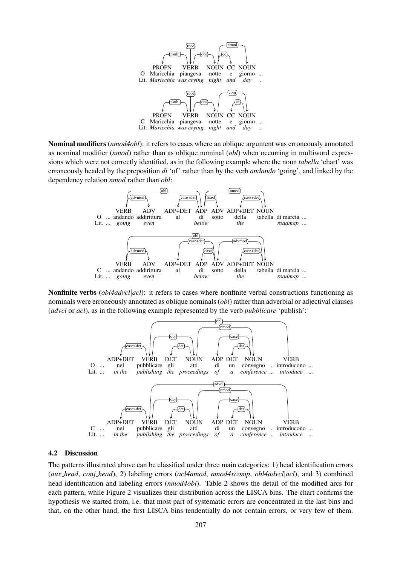

Nominal modifiers (*nmod4obl*): it refers to cases where an oblique argument was erroneously annotated as nominal modifier (*nmod*) rather than as oblique nominal (*obl*) when occurring in multiword expressions which were not correctly identified, as in the following example where the noun *tabella* 'chart' was erroneously headed by the preposition *di* 'of' rather than by the verb *andando* 'going', and linked by the dependency relation *nmod* rather than *obl*:



Nonfinite verbs (*obl4advcl*|*acl*): it refers to cases where nonfinite verbal constructions functioning as nominals were erroneously annotated as oblique nominals (*obl*) rather than adverbial or adjectival clauses (*advcl* or *acl*), as in the following example represented by the verb *pubblicare* 'publish':



#### 4.2 Discussion

The patterns illustrated above can be classified under three main categories: 1) head identification errors (*aux head*, *conj head*), 2) labeling errors (*acl4amod*, *amod4xcomp*, *obl4advcl*|*acl*), and 3) combined head identification and labeling errors (*nmod4obl*). Table 2 shows the detail of the modified arcs for each pattern, while Figure 2 visualizes their distribution across the LISCA bins. The chart confirms the hypothesis we started from, i.e. that most part of systematic errors are concentrated in the last bins and that, on the other hand, the first LISCA bins tendentially do not contain errors, or very few of them.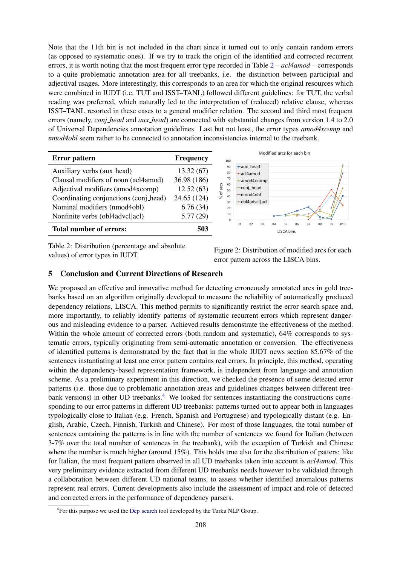Note that the 11th bin is not included in the chart since it turned out to only contain random errors (as opposed to systematic ones). If we try to track the origin of the identified and corrected recurrent errors, it is worth noting that the most frequent error type recorded in Table 2 – *acl4amod* – corresponds to a quite problematic annotation area for all treebanks, i.e. the distinction between participial and adjectival usages. More interestingly, this corresponds to an area for which the original resources which were combined in IUDT (i.e. TUT and ISST–TANL) followed different guidelines: for TUT, the verbal reading was preferred, which naturally led to the interpretation of (reduced) relative clause, whereas ISST–TANL resorted in these cases to a general modifier relation. The second and third most frequent errors (namely, *conj head* and *aux head*) are connected with substantial changes from version 1.4 to 2.0 of Universal Dependencies annotation guidelines. Last but not least, the error types *amod4xcomp* and *nmod4obl* seem rather to be connected to annotation inconsistencies internal to the treebank.

| <b>Error</b> pattern                  | <b>Frequency</b> |  |  |
|---------------------------------------|------------------|--|--|
| Auxiliary verbs (aux_head)            | 13.32(67)        |  |  |
| Clausal modifiers of noun (acl4amod)  | 36.98 (186)      |  |  |
| Adjectival modifiers (amod4xcomp)     | 12.52(63)        |  |  |
| Coordinating conjunctions (conj_head) | 24.65 (124)      |  |  |
| Nominal modifiers (nmod4obl)          | 6.76(34)         |  |  |
| Nonfinite verbs (obl4advcl acl)       | 5.77(29)         |  |  |
| <b>Total number of errors:</b>        |                  |  |  |



Table 2: Distribution (percentage and absolute values) of error types in IUDT.<br>
Figure 2: Distribution of modified arcs for each<br>
Figure 2: Distribution of modified arcs for each<br>
HISCAL:

error pattern across the LISCA bins.

# 5 Conclusion and Current Directions of Research

We proposed an effective and innovative method for detecting erroneously annotated arcs in gold treebanks based on an algorithm originally developed to measure the reliability of automatically produced dependency relations, LISCA. This method permits to significantly restrict the error search space and, more importantly, to reliably identify patterns of systematic recurrent errors which represent dangerous and misleading evidence to a parser. Achieved results demonstrate the effectiveness of the method. Within the whole amount of corrected errors (both random and systematic), 64% corresponds to systematic errors, typically originating from semi-automatic annotation or conversion. The effectiveness of identified patterns is demonstrated by the fact that in the whole IUDT news section 85.67% of the sentences instantiating at least one error pattern contains real errors. In principle, this method, operating within the dependency-based representation framework, is independent from language and annotation scheme. As a preliminary experiment in this direction, we checked the presence of some detected error patterns (i.e. those due to problematic annotation areas and guidelines changes between different treebank versions) in other UD treebanks.<sup>4</sup> We looked for sentences instantiating the constructions corresponding to our error patterns in different UD treebanks: patterns turned out to appear both in languages typologically close to Italian (e.g. French, Spanish and Portuguese) and typologically distant (e.g. English, Arabic, Czech, Finnish, Turkish and Chinese). For most of those languages, the total number of sentences containing the patterns is in line with the number of sentences we found for Italian (between 3-7% over the total number of sentences in the treebank), with the exception of Turkish and Chinese where the number is much higher (around 15%). This holds true also for the distribution of patters: like for Italian, the most frequent pattern observed in all UD treebanks taken into account is *acl4amod*. This very preliminary evidence extracted from different UD treebanks needs however to be validated through a collaboration between different UD national teams, to assess whether identified anomalous patterns represent real errors. Current developments also include the assessment of impact and role of detected and corrected errors in the performance of dependency parsers.

<sup>&</sup>lt;sup>4</sup> For this purpose we used the Dep\_search tool developed by the Turku NLP Group.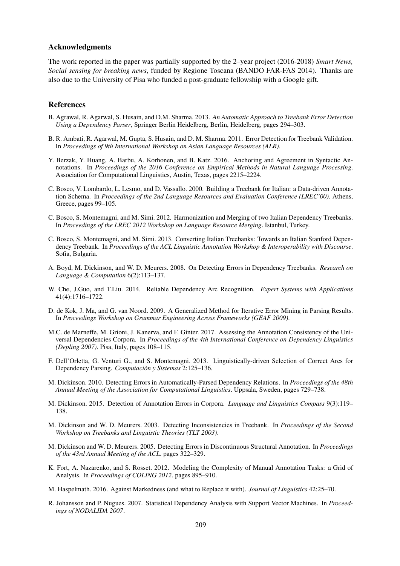### Acknowledgments

The work reported in the paper was partially supported by the 2–year project (2016-2018) *Smart News, Social sensing for breaking news*, funded by Regione Toscana (BANDO FAR-FAS 2014). Thanks are also due to the University of Pisa who funded a post-graduate fellowship with a Google gift.

#### References

- B. Agrawal, R. Agarwal, S. Husain, and D.M. Sharma. 2013. *An Automatic Approach to Treebank Error Detection Using a Dependency Parser*, Springer Berlin Heidelberg, Berlin, Heidelberg, pages 294–303.
- B. R. Ambati, R. Agarwal, M. Gupta, S. Husain, and D. M. Sharma. 2011. Error Detection for Treebank Validation. In *Proceedings of 9th International Workshop on Asian Language Resources (ALR)*.
- Y. Berzak, Y. Huang, A. Barbu, A. Korhonen, and B. Katz. 2016. Anchoring and Agreement in Syntactic Annotations. In *Proceedings of the 2016 Conference on Empirical Methods in Natural Language Processing*. Association for Computational Linguistics, Austin, Texas, pages 2215–2224.
- C. Bosco, V. Lombardo, L. Lesmo, and D. Vassallo. 2000. Building a Treebank for Italian: a Data-driven Annotation Schema. In *Proceedings of the 2nd Language Resources and Evaluation Conference (LREC'00)*. Athens, Greece, pages 99–105.
- C. Bosco, S. Montemagni, and M. Simi. 2012. Harmonization and Merging of two Italian Dependency Treebanks. In *Proceedings of the LREC 2012 Workshop on Language Resource Merging*. Istanbul, Turkey.
- C. Bosco, S. Montemagni, and M. Simi. 2013. Converting Italian Treebanks: Towards an Italian Stanford Dependency Treebank. In *Proceedings of the ACL Linguistic Annotation Workshop & Interoperability with Discourse*. Sofia, Bulgaria.
- A. Boyd, M. Dickinson, and W. D. Meurers. 2008. On Detecting Errors in Dependency Treebanks. *Research on Language & Computation* 6(2):113–137.
- W. Che, J.Guo, and T.Liu. 2014. Reliable Dependency Arc Recognition. *Expert Systems with Applications* 41(4):1716–1722.
- D. de Kok, J. Ma, and G. van Noord. 2009. A Generalized Method for Iterative Error Mining in Parsing Results. In *Proceedings Workshop on Grammar Engineering Across Frameworks (GEAF 2009)*.
- M.C. de Marneffe, M. Grioni, J. Kanerva, and F. Ginter. 2017. Assessing the Annotation Consistency of the Universal Dependencies Corpora. In *Proceedings of the 4th International Conference on Dependency Linguistics (Depling 2007)*. Pisa, Italy, pages 108–115.
- F. Dell'Orletta, G. Venturi G., and S. Montemagni. 2013. Linguistically-driven Selection of Correct Arcs for Dependency Parsing. *Computacion y Sistemas `* 2:125–136.
- M. Dickinson. 2010. Detecting Errors in Automatically-Parsed Dependency Relations. In *Proceedings of the 48th Annual Meeting of the Association for Computational Linguistics*. Uppsala, Sweden, pages 729–738.
- M. Dickinson. 2015. Detection of Annotation Errors in Corpora. *Language and Linguistics Compass* 9(3):119– 138.
- M. Dickinson and W. D. Meurers. 2003. Detecting Inconsistencies in Treebank. In *Proceedings of the Second Workshop on Treebanks and Linguistic Theories (TLT 2003)*.
- M. Dickinson and W. D. Meurers. 2005. Detecting Errors in Discontinuous Structural Annotation. In *Proceedings of the 43rd Annual Meeting of the ACL*. pages 322–329.
- K. Fort, A. Nazarenko, and S. Rosset. 2012. Modeling the Complexity of Manual Annotation Tasks: a Grid of Analysis. In *Proceedings of COLING 2012*. pages 895–910.
- M. Haspelmath. 2016. Against Markedness (and what to Replace it with). *Journal of Linguistics* 42:25–70.
- R. Johansson and P. Nugues. 2007. Statistical Dependency Analysis with Support Vector Machines. In *Proceedings of NODALIDA 2007*.